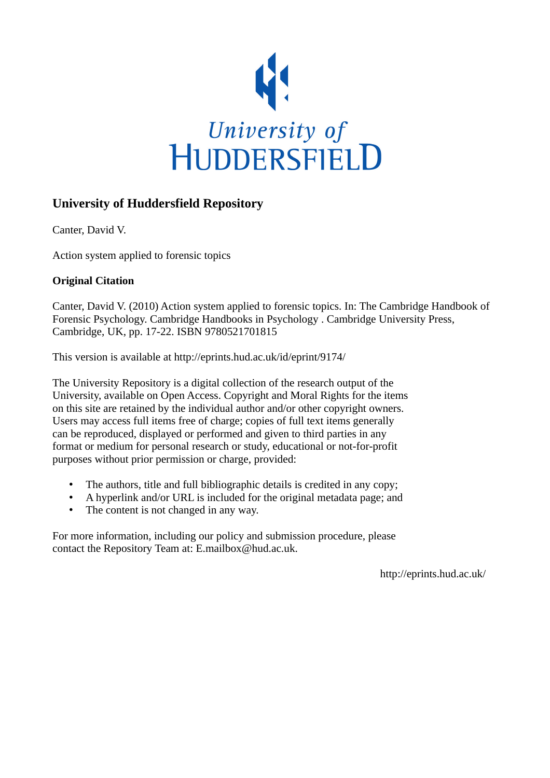

# **University of Huddersfield Repository**

Canter, David V.

Action system applied to forensic topics

## **Original Citation**

Canter, David V. (2010) Action system applied to forensic topics. In: The Cambridge Handbook of Forensic Psychology. Cambridge Handbooks in Psychology . Cambridge University Press, Cambridge, UK, pp. 17-22. ISBN 9780521701815

This version is available at http://eprints.hud.ac.uk/id/eprint/9174/

The University Repository is a digital collection of the research output of the University, available on Open Access. Copyright and Moral Rights for the items on this site are retained by the individual author and/or other copyright owners. Users may access full items free of charge; copies of full text items generally can be reproduced, displayed or performed and given to third parties in any format or medium for personal research or study, educational or not-for-profit purposes without prior permission or charge, provided:

- The authors, title and full bibliographic details is credited in any copy;
- A hyperlink and/or URL is included for the original metadata page; and
- The content is not changed in any way.

For more information, including our policy and submission procedure, please contact the Repository Team at: E.mailbox@hud.ac.uk.

http://eprints.hud.ac.uk/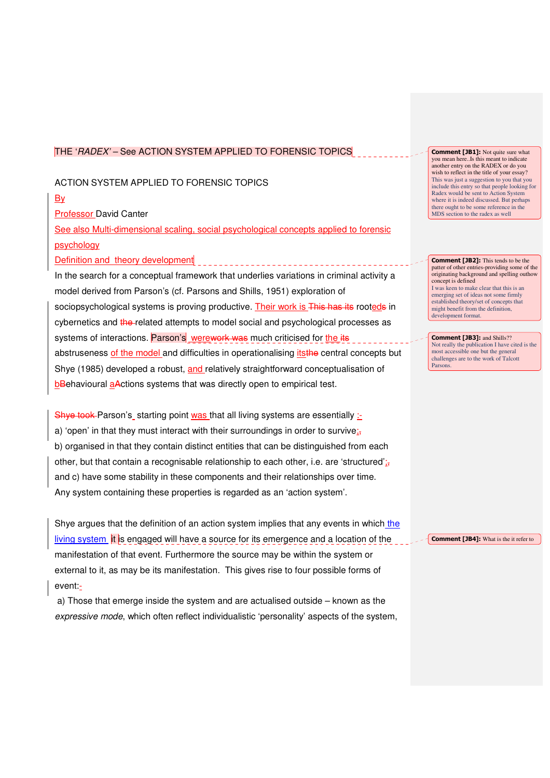#### THE 'RADEX' – See ACTION SYSTEM APPLIED TO FORENSIC TOPICS

#### ACTION SYSTEM APPLIED TO FORENSIC TOPICS

**B**<sub>v</sub>

Professor David Canter

See also Multi-dimensional scaling, social psychological concepts applied to forensic psychology

Definition and theory development

In the search for a conceptual framework that underlies variations in criminal activity a model derived from Parson's (cf. Parsons and Shills, 1951) exploration of sociopsychological systems is proving productive. Their work is This has its rooteds in cybernetics and the related attempts to model social and psychological processes as systems of interactions. Parson's werework was much criticised for the its abstruseness of the model and difficulties in operationalising itsthe central concepts but Shye (1985) developed a robust, and relatively straightforward conceptualisation of bBehavioural aActions systems that was directly open to empirical test.

Shye took Parson's starting point was that all living systems are essentially  $\pm$ a) 'open' in that they must interact with their surroundings in order to survive; b) organised in that they contain distinct entities that can be distinguished from each other, but that contain a recognisable relationship to each other, i.e. are 'structured'; and c) have some stability in these components and their relationships over time. Any system containing these properties is regarded as an 'action system'.

Shye argues that the definition of an action system implies that any events in which the  $\frac{1}{2}$  living system  $\frac{1}{2}$  is engaged will have a source for its emergence and a location of the manifestation of that event. Furthermore the source may be within the system or external to it, as may be its manifestation. This gives rise to four possible forms of event:-

 a) Those that emerge inside the system and are actualised outside – known as the expressive mode, which often reflect individualistic 'personality' aspects of the system, **Comment [JB1]:** Not quite sure what you mean here..Is this meant to indicate another entry on the RADEX or do you wish to reflect in the title of your essay? This was just a suggestion to you that you include this entry so that people looking for Radex would be sent to Action System where it is indeed discussed. But perhaps there ought to be some reference in the MDS section to the radex as well

Comment [JB2]: This tends to be the patter of other entries-providing some of the originating background and spelling outhow concept is defined I was keen to make clear that this is an emerging set of ideas not some firmly established theory/set of concepts that might benefit from the definition, development format.

Comment [JB3]: and Shills?? Not really the publication I have cited is the most accessible one but the general challenges are to the work of Talcott Parsons.

Comment [JB4]: What is the it refer to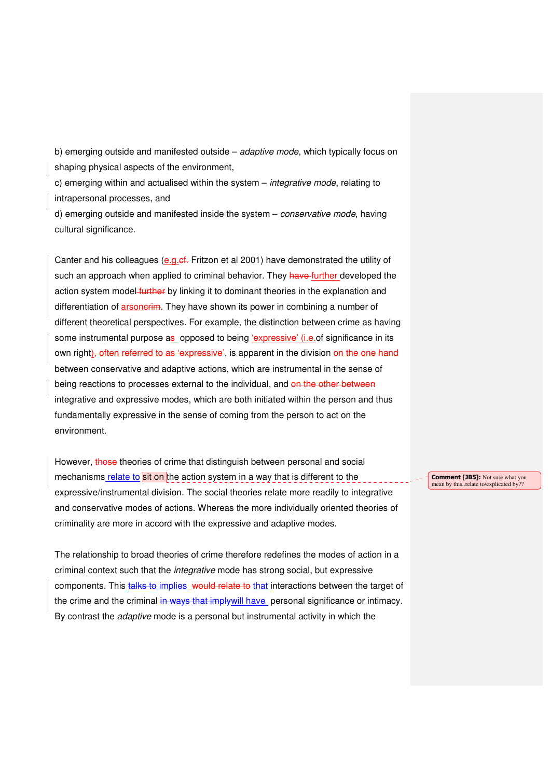b) emerging outside and manifested outside – adaptive mode, which typically focus on shaping physical aspects of the environment,

c) emerging within and actualised within the system – *integrative mode*, relating to intrapersonal processes, and

d) emerging outside and manifested inside the system - conservative mode, having cultural significance.

Canter and his colleagues (e.g.cf. Fritzon et al 2001) have demonstrated the utility of such an approach when applied to criminal behavior. They have further developed the action system model-further by linking it to dominant theories in the explanation and differentiation of arsonerim. They have shown its power in combining a number of different theoretical perspectives. For example, the distinction between crime as having some instrumental purpose as opposed to being 'expressive' (i.e.of significance in its own right), often referred to as 'expressive', is apparent in the division on the one hand between conservative and adaptive actions, which are instrumental in the sense of being reactions to processes external to the individual, and on the other between integrative and expressive modes, which are both initiated within the person and thus fundamentally expressive in the sense of coming from the person to act on the environment.

However, those theories of crime that distinguish between personal and social mechanisms relate to sit on the action system in a way that is different to the expressive/instrumental division. The social theories relate more readily to integrative and conservative modes of actions. Whereas the more individually oriented theories of criminality are more in accord with the expressive and adaptive modes.

The relationship to broad theories of crime therefore redefines the modes of action in a criminal context such that the integrative mode has strong social, but expressive components. This talks to implies would relate to that interactions between the target of the crime and the criminal in ways that imply will have personal significance or intimacy. By contrast the adaptive mode is a personal but instrumental activity in which the

Comment [JB5]: Not sure what you mean by this..relate to/explicated by??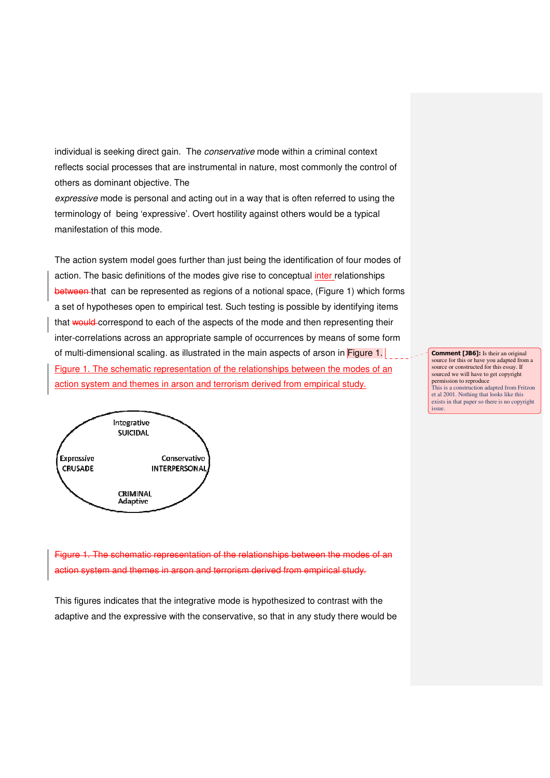individual is seeking direct gain. The conservative mode within a criminal context reflects social processes that are instrumental in nature, most commonly the control of others as dominant objective. The

expressive mode is personal and acting out in a way that is often referred to using the terminology of being 'expressive'. Overt hostility against others would be a typical manifestation of this mode.

The action system model goes further than just being the identification of four modes of action. The basic definitions of the modes give rise to conceptual *inter* relationships between that can be represented as regions of a notional space, (Figure 1) which forms a set of hypotheses open to empirical test. Such testing is possible by identifying items that would correspond to each of the aspects of the mode and then representing their inter-correlations across an appropriate sample of occurrences by means of some form of multi-dimensional scaling. as illustrated in the main aspects of arson in Figure 1. Figure 1. The schematic representation of the relationships between the modes of an action system and themes in arson and terrorism derived from empirical study.



**Comment [JB6]:** Is their an original source for this or have you adapted from a source or constructed for this essay. If sourced we will have to get copyright permission to reproduce This is a construction adapted from Fritzon et al 2001. Nothing that looks like this exists in that paper so there is no copyright issue.

Figure 1. The schematic representation of the relationships between the modes of an action system and themes in arson and terrorism derived from empirical study.

This figures indicates that the integrative mode is hypothesized to contrast with the adaptive and the expressive with the conservative, so that in any study there would be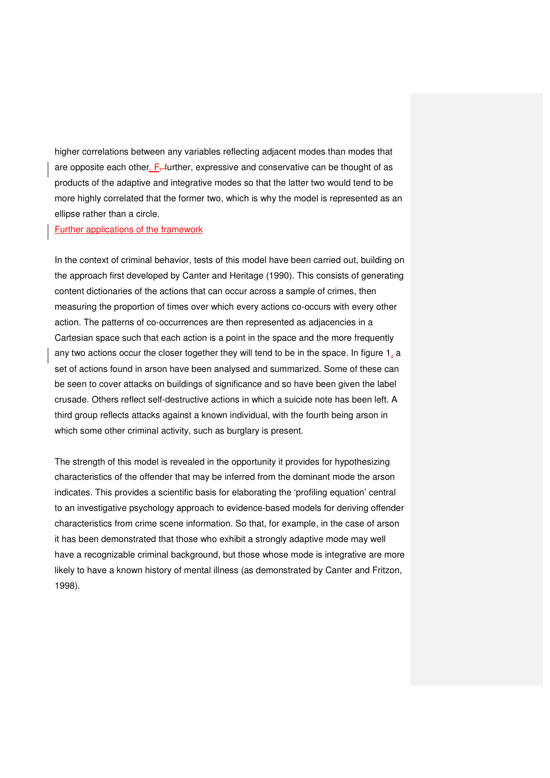higher correlations between any variables reflecting adjacent modes than modes that are opposite each other.  $F_{+}$  further, expressive and conservative can be thought of as products of the adaptive and integrative modes so that the latter two would tend to be more highly correlated that the former two, which is why the model is represented as an ellipse rather than a circle.

#### Further applications of the framework

In the context of criminal behavior, tests of this model have been carried out, building on the approach first developed by Canter and Heritage (1990). This consists of generating content dictionaries of the actions that can occur across a sample of crimes, then measuring the proportion of times over which every actions co-occurs with every other action. The patterns of co-occurrences are then represented as adjacencies in a Cartesian space such that each action is a point in the space and the more frequently any two actions occur the closer together they will tend to be in the space. In figure 1, a set of actions found in arson have been analysed and summarized. Some of these can be seen to cover attacks on buildings of significance and so have been given the label crusade. Others reflect self-destructive actions in which a suicide note has been left. A third group reflects attacks against a known individual, with the fourth being arson in which some other criminal activity, such as burglary is present.

The strength of this model is revealed in the opportunity it provides for hypothesizing characteristics of the offender that may be inferred from the dominant mode the arson indicates. This provides a scientific basis for elaborating the 'profiling equation' central to an investigative psychology approach to evidence-based models for deriving offender characteristics from crime scene information. So that, for example, in the case of arson it has been demonstrated that those who exhibit a strongly adaptive mode may well have a recognizable criminal background, but those whose mode is integrative are more likely to have a known history of mental illness (as demonstrated by Canter and Fritzon, 1998).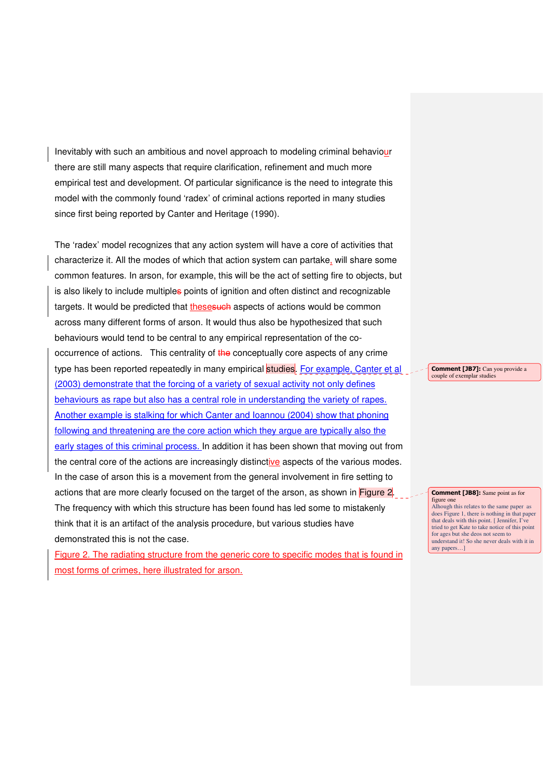Inevitably with such an ambitious and novel approach to modeling criminal behaviour there are still many aspects that require clarification, refinement and much more empirical test and development. Of particular significance is the need to integrate this model with the commonly found 'radex' of criminal actions reported in many studies since first being reported by Canter and Heritage (1990).

The 'radex' model recognizes that any action system will have a core of activities that characterize it. All the modes of which that action system can partake, will share some common features. In arson, for example, this will be the act of setting fire to objects, but is also likely to include multiples points of ignition and often distinct and recognizable targets. It would be predicted that thesesuch aspects of actions would be common across many different forms of arson. It would thus also be hypothesized that such behaviours would tend to be central to any empirical representation of the cooccurrence of actions. This centrality of the conceptually core aspects of any crime type has been reported repeatedly in many empirical studies. For example, Canter et al (2003) demonstrate that the forcing of a variety of sexual activity not only defines behaviours as rape but also has a central role in understanding the variety of rapes. Another example is stalking for which Canter and Ioannou (2004) show that phoning following and threatening are the core action which they argue are typically also the early stages of this criminal process. In addition it has been shown that moving out from the central core of the actions are increasingly distinctive aspects of the various modes. In the case of arson this is a movement from the general involvement in fire setting to actions that are more clearly focused on the target of the arson, as shown in Figure 2. The frequency with which this structure has been found has led some to mistakenly think that it is an artifact of the analysis procedure, but various studies have demonstrated this is not the case.

Figure 2. The radiating structure from the generic core to specific modes that is found in most forms of crimes, here illustrated for arson.

Comment [JB7]: Can you provide a couple of exemplar studies

Comment [JB8]: Same point as for figure one

Alhough this relates to the same paper as does Figure 1, there is nothing in that paper that deals with this point. [ Jennifer, I've tried to get Kate to take notice of this point for ages but she deos not seem to understand it! So she never deals with it in any papers…]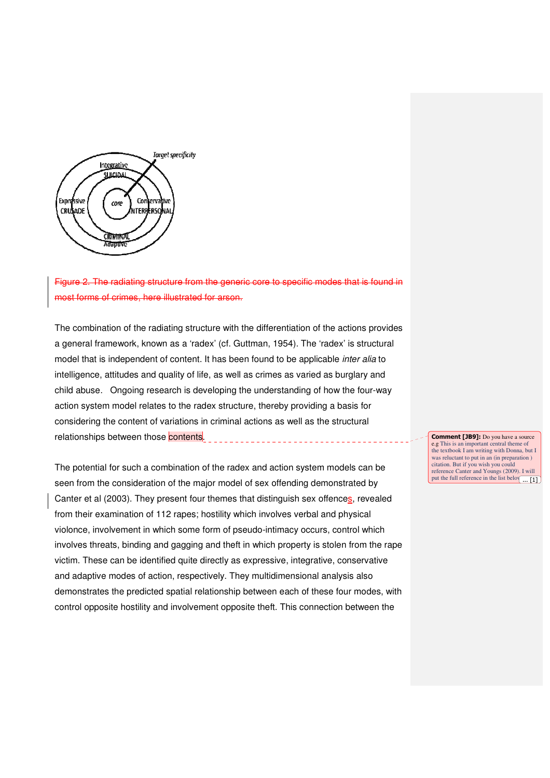

radiating structure from the generic core to specific modes that is found in crimes, here illustrated for arson.

The combination of the radiating structure with the differentiation of the actions provides a general framework, known as a 'radex' (cf. Guttman, 1954). The 'radex' is structural model that is independent of content. It has been found to be applicable inter alia to intelligence, attitudes and quality of life, as well as crimes as varied as burglary and child abuse. Ongoing research is developing the understanding of how the four-way action system model relates to the radex structure, thereby providing a basis for considering the content of variations in criminal actions as well as the structural relationships between those contents.

The potential for such a combination of the radex and action system models can be seen from the consideration of the major model of sex offending demonstrated by Canter et al (2003). They present four themes that distinguish sex offences, revealed from their examination of 112 rapes; hostility which involves verbal and physical violonce, involvement in which some form of pseudo-intimacy occurs, control which involves threats, binding and gagging and theft in which property is stolen from the rape victim. These can be identified quite directly as expressive, integrative, conservative and adaptive modes of action, respectively. They multidimensional analysis also demonstrates the predicted spatial relationship between each of these four modes, with control opposite hostility and involvement opposite theft. This connection between the

Comment [JB9]: Do you have a source e.g This is an important central theme of the textbook I am writing with Donna, but I was reluctant to put in an (in preparation ) citation. But if you wish you could reference Canter and Youngs (2009). I will put the full reference in the list belo $\sqrt{... [1]}$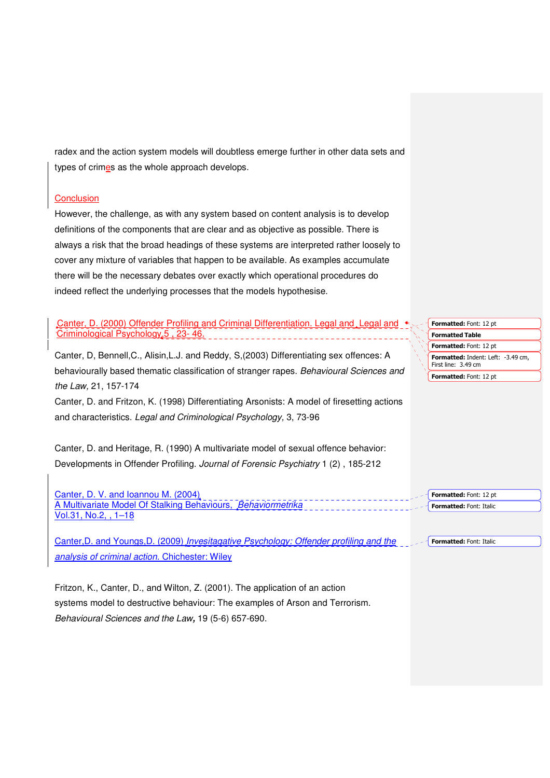radex and the action system models will doubtless emerge further in other data sets and types of crimes as the whole approach develops.

### **Conclusion**

However, the challenge, as with any system based on content analysis is to develop definitions of the components that are clear and as objective as possible. There is always a risk that the broad headings of these systems are interpreted rather loosely to cover any mixture of variables that happen to be available. As examples accumulate there will be the necessary debates over exactly which operational procedures do indeed reflect the underlying processes that the models hypothesise.

Canter, D. (2000) Offender Profiling and Criminal Differentiation. Legal and Legal and Criminological Psychology, 5, 23-46.

Canter, D, Bennell,C., Alisin,L.J. and Reddy, S,(2003) Differentiating sex offences: A behaviourally based thematic classification of stranger rapes. Behavioural Sciences and the Law, 21, 157-174

Canter, D. and Fritzon, K. (1998) Differentiating Arsonists: A model of firesetting actions and characteristics. Legal and Criminological Psychology, 3, 73-96

Canter, D. and Heritage, R. (1990) A multivariate model of sexual offence behavior: Developments in Offender Profiling. Journal of Forensic Psychiatry 1 (2) , 185-212

Canter, D. V. and Ioannou M. (2004) A Multivariate Model Of Stalking Behaviours, Behaviormetrika Vol.31, No.2, , 1–18

Canter,D. and Youngs,D. (2009) Invesitagative Psychology: Offender profiling and the analysis of criminal action. Chichester: Wiley Formatted: Font: Italic

Fritzon, K., Canter, D., and Wilton, Z. (2001). The application of an action systems model to destructive behaviour: The examples of Arson and Terrorism. Behavioural Sciences and the Law**,** 19 (5-6) 657-690.

Formatted Table Formatted: Font: 12 pt Formatted: Indent: Left: -3.49 cm, First line: 3.49 cm Formatted: Font: 12 pt Formatted: Font: 12 pt

Formatted: Font: 12 pt Formatted: Font: Italic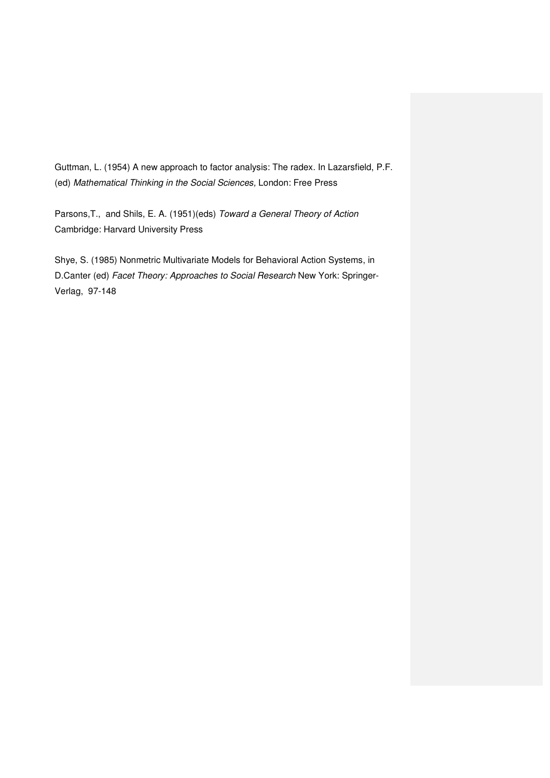Guttman, L. (1954) A new approach to factor analysis: The radex. In Lazarsfield, P.F. (ed) Mathematical Thinking in the Social Sciences, London: Free Press

Parsons,T., and Shils, E. A. (1951)(eds) Toward a General Theory of Action Cambridge: Harvard University Press

Shye, S. (1985) Nonmetric Multivariate Models for Behavioral Action Systems, in D.Canter (ed) Facet Theory: Approaches to Social Research New York: Springer-Verlag, 97-148